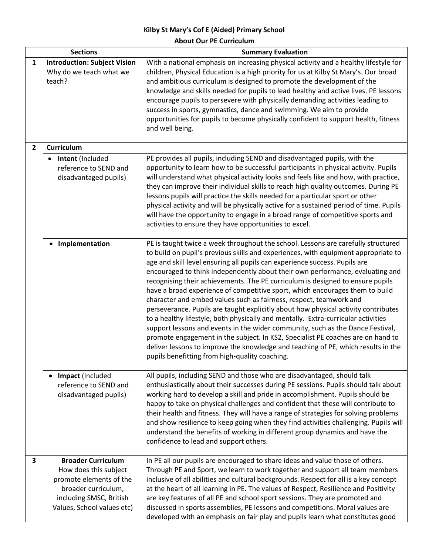## **Kilby St Mary's Cof E (Aided) Primary School About Our PE Curriculum**

| <b>Sections</b> |                                                                                                                                                               | <b>Summary Evaluation</b>                                                                                                                                                                                                                                                                                                                                                                                                                                                                                                                                                                                                                                                                                                                                                                                                                                                                                                                                                                                                                                             |
|-----------------|---------------------------------------------------------------------------------------------------------------------------------------------------------------|-----------------------------------------------------------------------------------------------------------------------------------------------------------------------------------------------------------------------------------------------------------------------------------------------------------------------------------------------------------------------------------------------------------------------------------------------------------------------------------------------------------------------------------------------------------------------------------------------------------------------------------------------------------------------------------------------------------------------------------------------------------------------------------------------------------------------------------------------------------------------------------------------------------------------------------------------------------------------------------------------------------------------------------------------------------------------|
| 1               | <b>Introduction: Subject Vision</b><br>Why do we teach what we<br>teach?                                                                                      | With a national emphasis on increasing physical activity and a healthy lifestyle for<br>children, Physical Education is a high priority for us at Kilby St Mary's. Our broad<br>and ambitious curriculum is designed to promote the development of the<br>knowledge and skills needed for pupils to lead healthy and active lives. PE lessons<br>encourage pupils to persevere with physically demanding activities leading to<br>success in sports, gymnastics, dance and swimming. We aim to provide<br>opportunities for pupils to become physically confident to support health, fitness<br>and well being.                                                                                                                                                                                                                                                                                                                                                                                                                                                       |
| $\overline{2}$  | <b>Curriculum</b>                                                                                                                                             |                                                                                                                                                                                                                                                                                                                                                                                                                                                                                                                                                                                                                                                                                                                                                                                                                                                                                                                                                                                                                                                                       |
|                 | Intent (Included<br>reference to SEND and<br>disadvantaged pupils)                                                                                            | PE provides all pupils, including SEND and disadvantaged pupils, with the<br>opportunity to learn how to be successful participants in physical activity. Pupils<br>will understand what physical activity looks and feels like and how, with practice,<br>they can improve their individual skills to reach high quality outcomes. During PE<br>lessons pupils will practice the skills needed for a particular sport or other<br>physical activity and will be physically active for a sustained period of time. Pupils<br>will have the opportunity to engage in a broad range of competitive sports and<br>activities to ensure they have opportunities to excel.                                                                                                                                                                                                                                                                                                                                                                                                 |
|                 | Implementation                                                                                                                                                | PE is taught twice a week throughout the school. Lessons are carefully structured<br>to build on pupil's previous skills and experiences, with equipment appropriate to<br>age and skill level ensuring all pupils can experience success. Pupils are<br>encouraged to think independently about their own performance, evaluating and<br>recognising their achievements. The PE curriculum is designed to ensure pupils<br>have a broad experience of competitive sport, which encourages them to build<br>character and embed values such as fairness, respect, teamwork and<br>perseverance. Pupils are taught explicitly about how physical activity contributes<br>to a healthy lifestyle, both physically and mentally. Extra-curricular activities<br>support lessons and events in the wider community, such as the Dance Festival,<br>promote engagement in the subject. In KS2, Specialist PE coaches are on hand to<br>deliver lessons to improve the knowledge and teaching of PE, which results in the<br>pupils benefitting from high-quality coaching. |
|                 | Impact (Included<br>reference to SEND and<br>disadvantaged pupils)                                                                                            | All pupils, including SEND and those who are disadvantaged, should talk<br>enthusiastically about their successes during PE sessions. Pupils should talk about<br>working hard to develop a skill and pride in accomplishment. Pupils should be<br>happy to take on physical challenges and confident that these will contribute to<br>their health and fitness. They will have a range of strategies for solving problems<br>and show resilience to keep going when they find activities challenging. Pupils will<br>understand the benefits of working in different group dynamics and have the<br>confidence to lead and support others.                                                                                                                                                                                                                                                                                                                                                                                                                           |
| 3               | <b>Broader Curriculum</b><br>How does this subject<br>promote elements of the<br>broader curriculum,<br>including SMSC, British<br>Values, School values etc) | In PE all our pupils are encouraged to share ideas and value those of others.<br>Through PE and Sport, we learn to work together and support all team members<br>inclusive of all abilities and cultural backgrounds. Respect for all is a key concept<br>at the heart of all learning in PE. The values of Respect, Resilience and Positivity<br>are key features of all PE and school sport sessions. They are promoted and<br>discussed in sports assemblies, PE lessons and competitions. Moral values are<br>developed with an emphasis on fair play and pupils learn what constitutes good                                                                                                                                                                                                                                                                                                                                                                                                                                                                      |